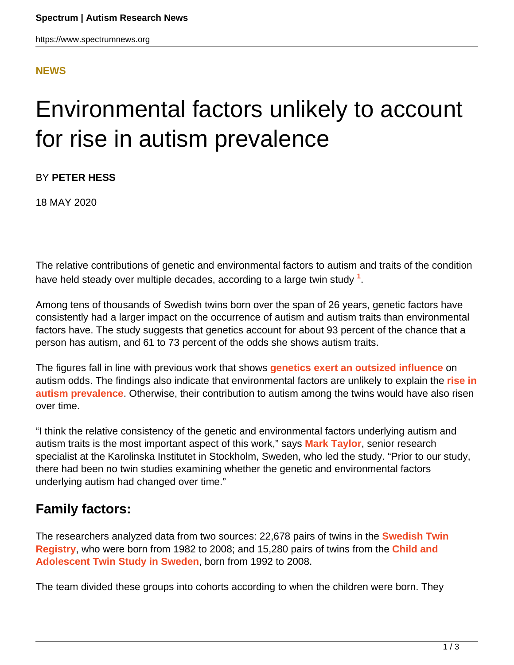### **[NEWS](HTTPS://WWW.SPECTRUMNEWS.ORG/NEWS/)**

# Environmental factors unlikely to account for rise in autism prevalence

BY **PETER HESS**

18 MAY 2020

The relative contributions of genetic and environmental factors to autism and traits of the condition have held steady over multiple decades, according to a large twin study **<sup>1</sup>** .

Among tens of thousands of Swedish twins born over the span of 26 years, genetic factors have consistently had a larger impact on the occurrence of autism and autism traits than environmental factors have. The study suggests that genetics account for about 93 percent of the chance that a person has autism, and 61 to 73 percent of the odds she shows autism traits.

The figures fall in line with previous work that shows **[genetics exert an outsized influence](https://www.spectrumnews.org/news/majority-of-autism-risk-resides-in-genes-multinational-study-suggests/)** on autism odds. The findings also indicate that environmental factors are unlikely to explain the **[rise in](https://www.spectrumnews.org/news/new-u-s-data-show-similar-autism-prevalence-among-racial-groups/) [autism prevalence](https://www.spectrumnews.org/news/new-u-s-data-show-similar-autism-prevalence-among-racial-groups/)**. Otherwise, their contribution to autism among the twins would have also risen over time.

"I think the relative consistency of the genetic and environmental factors underlying autism and autism traits is the most important aspect of this work," says **[Mark Taylor](https://staff.ki.se/people/martay)**, senior research specialist at the Karolinska Institutet in Stockholm, Sweden, who led the study. "Prior to our study, there had been no twin studies examining whether the genetic and environmental factors underlying autism had changed over time."

## **Family factors:**

The researchers analyzed data from two sources: 22,678 pairs of twins in the **[Swedish Twin](https://ki.se/en/research/the-swedish-twin-registry) [Registry](https://ki.se/en/research/the-swedish-twin-registry)**, who were born from 1982 to 2008; and 15,280 pairs of twins from the **[Child and](https://ki.se/en/meb/the-child-and-adolescent-twin-study-in-sweden-catss) [Adolescent Twin Study in Sweden](https://ki.se/en/meb/the-child-and-adolescent-twin-study-in-sweden-catss)**, born from 1992 to 2008.

The team divided these groups into cohorts according to when the children were born. They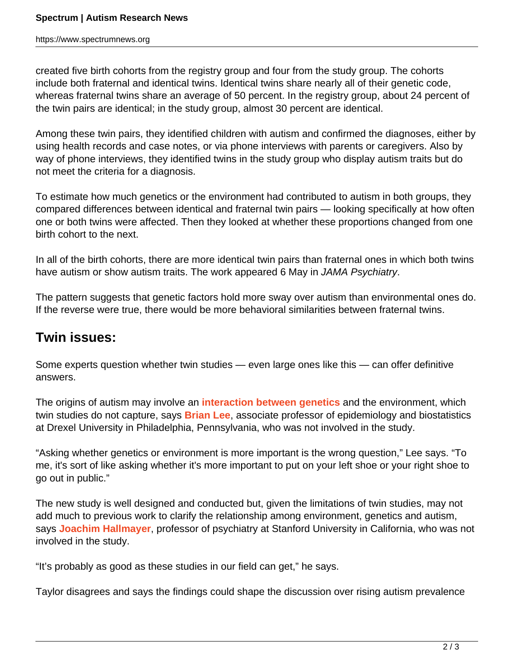https://www.spectrumnews.org

created five birth cohorts from the registry group and four from the study group. The cohorts include both fraternal and identical twins. Identical twins share nearly all of their genetic code, whereas fraternal twins share an average of 50 percent. In the registry group, about 24 percent of the twin pairs are identical; in the study group, almost 30 percent are identical.

Among these twin pairs, they identified children with autism and confirmed the diagnoses, either by using health records and case notes, or via phone interviews with parents or caregivers. Also by way of phone interviews, they identified twins in the study group who display autism traits but do not meet the criteria for a diagnosis.

To estimate how much genetics or the environment had contributed to autism in both groups, they compared differences between identical and fraternal twin pairs — looking specifically at how often one or both twins were affected. Then they looked at whether these proportions changed from one birth cohort to the next.

In all of the birth cohorts, there are more identical twin pairs than fraternal ones in which both twins have autism or show autism traits. The work appeared 6 May in JAMA Psychiatry.

The pattern suggests that genetic factors hold more sway over autism than environmental ones do. If the reverse were true, there would be more behavioral similarities between fraternal twins.

## **Twin issues:**

Some experts question whether twin studies — even large ones like this — can offer definitive answers.

The origins of autism may involve an **[interaction between genetics](https://www.spectrumnews.org/opinion/viewpoint/autism-heritability-it-probably-does-not-mean-what-you-think-it-means/)** and the environment, which twin studies do not capture, says **[Brian Lee](https://www.spectrumnews.org/author/brianlee/)**, associate professor of epidemiology and biostatistics at Drexel University in Philadelphia, Pennsylvania, who was not involved in the study.

"Asking whether genetics or environment is more important is the wrong question," Lee says. "To me, it's sort of like asking whether it's more important to put on your left shoe or your right shoe to go out in public."

The new study is well designed and conducted but, given the limitations of twin studies, may not add much to previous work to clarify the relationship among environment, genetics and autism, says **[Joachim Hallmayer](https://profiles.stanford.edu/joachim-hallmayer)**, professor of psychiatry at Stanford University in California, who was not involved in the study.

"It's probably as good as these studies in our field can get," he says.

Taylor disagrees and says the findings could shape the discussion over rising autism prevalence